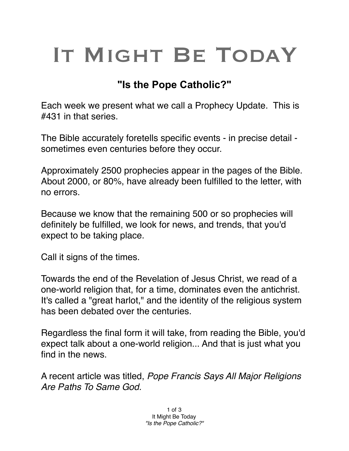## IT MIGHT BE TODAY

## **"Is the Pope Catholic?"**

Each week we present what we call a Prophecy Update. This is #431 in that series.

The Bible accurately foretells specific events - in precise detail sometimes even centuries before they occur.

Approximately 2500 prophecies appear in the pages of the Bible. About 2000, or 80%, have already been fulfilled to the letter, with no errors.

Because we know that the remaining 500 or so prophecies will definitely be fulfilled, we look for news, and trends, that you'd expect to be taking place.

Call it signs of the times.

Towards the end of the Revelation of Jesus Christ, we read of a one-world religion that, for a time, dominates even the antichrist. It's called a "great harlot," and the identity of the religious system has been debated over the centuries.

Regardless the final form it will take, from reading the Bible, you'd expect talk about a one-world religion... And that is just what you find in the news.

A recent article was titled, *Pope Francis Says All Major Religions Are Paths To Same God.*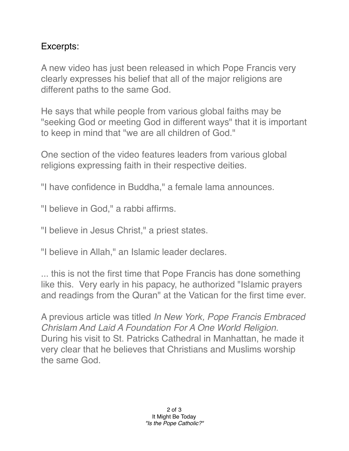## Excerpts:

A new video has just been released in which Pope Francis very clearly expresses his belief that all of the major religions are different paths to the same God.

He says that while people from various global faiths may be "seeking God or meeting God in different ways" that it is important to keep in mind that "we are all children of God."

One section of the video features leaders from various global religions expressing faith in their respective deities.

"I have confidence in Buddha," a female lama announces.

"I believe in God," a rabbi affirms.

"I believe in Jesus Christ," a priest states.

"I believe in Allah," an Islamic leader declares.

... this is not the first time that Pope Francis has done something like this. Very early in his papacy, he authorized "Islamic prayers and readings from the Quran" at the Vatican for the first time ever.

A previous article was titled *In New York, Pope Francis Embraced Chrislam And Laid A Foundation For A One World Religion.*  During his visit to St. Patricks Cathedral in Manhattan, he made it very clear that he believes that Christians and Muslims worship the same God.